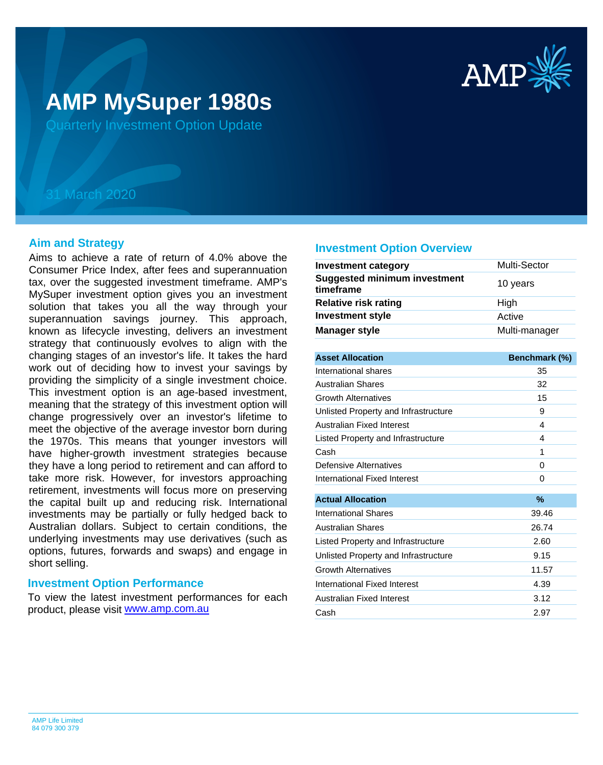

# **AMP MySuper 1980s**

Quarterly Investment Option Update

## 31 March 2020

#### **Aim and Strategy**

Aims to achieve a rate of return of 4.0% above the Consumer Price Index, after fees and superannuation tax, over the suggested investment timeframe. AMP's MySuper investment option gives you an investment solution that takes you all the way through your superannuation savings journey. This approach, known as lifecycle investing, delivers an investment strategy that continuously evolves to align with the changing stages of an investor's life. It takes the hard work out of deciding how to invest your savings by providing the simplicity of a single investment choice. This investment option is an age-based investment, meaning that the strategy of this investment option will change progressively over an investor's lifetime to meet the objective of the average investor born during the 1970s. This means that younger investors will have higher-growth investment strategies because they have a long period to retirement and can afford to take more risk. However, for investors approaching retirement, investments will focus more on preserving the capital built up and reducing risk. International investments may be partially or fully hedged back to Australian dollars. Subject to certain conditions, the underlying investments may use derivatives (such as options, futures, forwards and swaps) and engage in short selling.

#### **Investment Option Performance**

product, please visit **[www.amp.com.au](https://www.amp.com.au)** To view the latest investment performances for each

#### **Investment Option Overview**

| <b>Investment category</b>                       | Multi-Sector  |
|--------------------------------------------------|---------------|
| <b>Suggested minimum investment</b><br>timeframe | 10 years      |
| <b>Relative risk rating</b>                      | High          |
| <b>Investment style</b>                          | Active        |
| <b>Manager style</b>                             | Multi-manager |
|                                                  |               |

| <b>Asset Allocation</b>              | Benchmark (%) |
|--------------------------------------|---------------|
| International shares                 | 35            |
| <b>Australian Shares</b>             | 32            |
| <b>Growth Alternatives</b>           | 15            |
| Unlisted Property and Infrastructure | 9             |
| Australian Fixed Interest            | 4             |
| Listed Property and Infrastructure   | 4             |
| Cash                                 | 1             |
| Defensive Alternatives               | 0             |
| International Fixed Interest         | 0             |
|                                      |               |
| <b>Actual Allocation</b>             | %             |
| International Shares                 | 39.46         |
| <b>Australian Shares</b>             | 26.74         |
| Listed Property and Infrastructure   | 2.60          |
| Unlisted Property and Infrastructure | 9.15          |
| <b>Growth Alternatives</b>           | 11.57         |
| International Fixed Interest         | 4.39          |
| Australian Fixed Interest            | 3.12          |
| Cash                                 | 2.97          |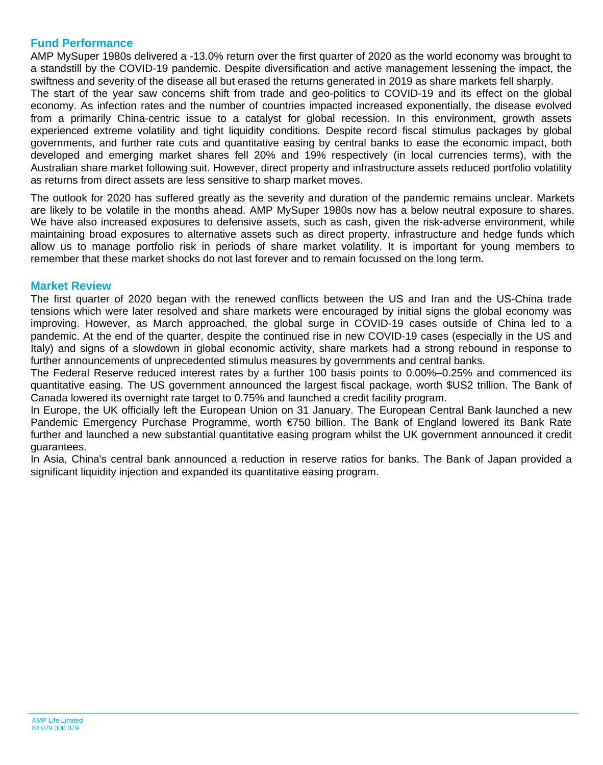### **Fund Performance**

AMP MySuper 1980s delivered a -13.0% return over the first quarter of 2020 as the world economy was brought to a standstill by the COVID-19 pandemic. Despite diversification and active management lessening the impact, the swiftness and severity of the disease all but erased the returns generated in 2019 as share markets fell sharply.

The start of the year saw concerns shift from trade and geo-politics to COVID-19 and its effect on the global economy. As infection rates and the number of countries impacted increased exponentially, the disease evolved from a primarily China-centric issue to a catalyst for global recession. In this environment, growth assets experienced extreme volatility and tight liquidity conditions. Despite record fiscal stimulus packages by global governments, and further rate cuts and quantitative easing by central banks to ease the economic impact, both developed and emerging market shares fell 20% and 19% respectively (in local currencies terms), with the Australian share market following suit. However, direct property and infrastructure assets reduced portfolio volatility as returns from direct assets are less sensitive to sharp market moves.

The outlook for 2020 has suffered greatly as the severity and duration of the pandemic remains unclear. Markets are likely to be volatile in the months ahead. AMP MySuper 1980s now has a below neutral exposure to shares. We have also increased exposures to defensive assets, such as cash, given the risk-adverse environment, while maintaining broad exposures to alternative assets such as direct property, infrastructure and hedge funds which allow us to manage portfolio risk in periods of share market volatility. It is important for young members to remember that these market shocks do not last forever and to remain focussed on the long term.

#### **Market Review**

The first quarter of 2020 began with the renewed conflicts between the US and Iran and the US-China trade tensions which were later resolved and share markets were encouraged by initial signs the global economy was improving. However, as March approached, the global surge in COVID-19 cases outside of China led to a pandemic. At the end of the quarter, despite the continued rise in new COVID-19 cases (especially in the US and Italy) and signs of a slowdown in global economic activity, share markets had a strong rebound in response to further announcements of unprecedented stimulus measures by governments and central banks.

The Federal Reserve reduced interest rates by a further 100 basis points to 0.00%–0.25% and commenced its quantitative easing. The US government announced the largest fiscal package, worth \$US2 trillion. The Bank of Canada lowered its overnight rate target to 0.75% and launched a credit facility program.

In Europe, the UK officially left the European Union on 31 January. The European Central Bank launched a new Pandemic Emergency Purchase Programme, worth €750 billion. The Bank of England lowered its Bank Rate further and launched a new substantial quantitative easing program whilst the UK government announced it credit guarantees.

In Asia, China's central bank announced a reduction in reserve ratios for banks. The Bank of Japan provided a significant liquidity injection and expanded its quantitative easing program.